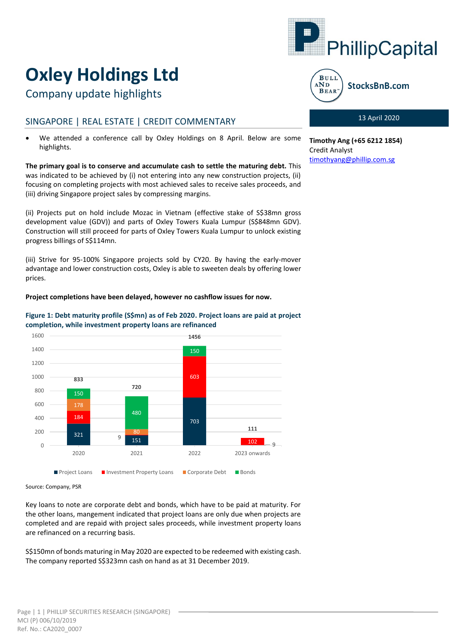

# **Oxley Holdings Ltd**

Company update highlights

# SINGAPORE | REAL ESTATE | CREDIT COMMENTARY

 We attended a conference call by Oxley Holdings on 8 April. Below are some highlights.

**The primary goal is to conserve and accumulate cash to settle the maturing debt.** This was indicated to be achieved by (i) not entering into any new construction projects, (ii) focusing on completing projects with most achieved sales to receive sales proceeds, and (iii) driving Singapore project sales by compressing margins.

(ii) Projects put on hold include Mozac in Vietnam (effective stake of S\$38mn gross development value (GDV)) and parts of Oxley Towers Kuala Lumpur (S\$848mn GDV). Construction will still proceed for parts of Oxley Towers Kuala Lumpur to unlock existing progress billings of S\$114mn.

(iii) Strive for 95-100% Singapore projects sold by CY20. By having the early-mover advantage and lower construction costs, Oxley is able to sweeten deals by offering lower prices.

# **Project completions have been delayed, however no cashflow issues for now.**



# **Figure 1: Debt maturity profile (S\$mn) as of Feb 2020. Project loans are paid at project completion, while investment property loans are refinanced**

Source: Company, PSR

Key loans to note are corporate debt and bonds, which have to be paid at maturity. For the other loans, mangement indicated that project loans are only due when projects are completed and are repaid with project sales proceeds, while investment property loans are refinanced on a recurring basis.

S\$150mn of bonds maturing in May 2020 are expected to be redeemed with existing cash. The company reported S\$323mn cash on hand as at 31 December 2019.



StocksBnB.com

# 13 April 2020

**Timothy Ang (+65 6212 1854)** Credit Analyst [timothyang@phillip.com.sg](mailto:timothyang@phillip.com.sg)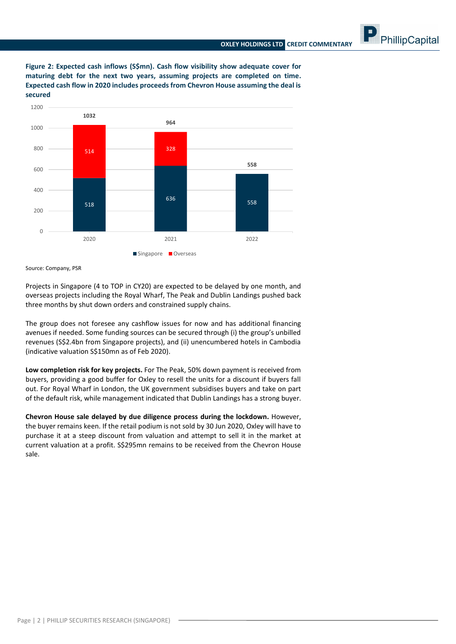PhillipCapital

**Figure 2: Expected cash inflows (S\$mn). Cash flow visibility show adequate cover for maturing debt for the next two years, assuming projects are completed on time. Expected cash flow in 2020 includes proceeds from Chevron House assuming the deal is secured**



Source: Company, PSR

Projects in Singapore (4 to TOP in CY20) are expected to be delayed by one month, and overseas projects including the Royal Wharf, The Peak and Dublin Landings pushed back three months by shut down orders and constrained supply chains.

The group does not foresee any cashflow issues for now and has additional financing avenues if needed. Some funding sources can be secured through (i) the group's unbilled revenues (S\$2.4bn from Singapore projects), and (ii) unencumbered hotels in Cambodia (indicative valuation S\$150mn as of Feb 2020).

**Low completion risk for key projects.** For The Peak, 50% down payment is received from buyers, providing a good buffer for Oxley to resell the units for a discount if buyers fall out. For Royal Wharf in London, the UK government subsidises buyers and take on part of the default risk, while management indicated that Dublin Landings has a strong buyer.

**Chevron House sale delayed by due diligence process during the lockdown.** However, the buyer remains keen. If the retail podium is not sold by 30 Jun 2020, Oxley will have to purchase it at a steep discount from valuation and attempt to sell it in the market at current valuation at a profit. S\$295mn remains to be received from the Chevron House sale.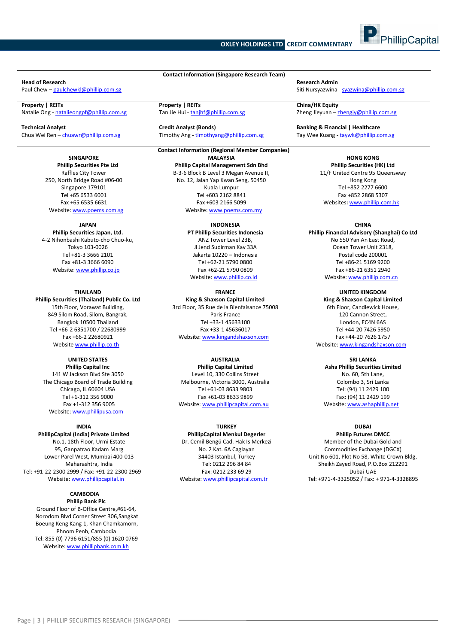### **OXLEY HOLDINGS LTD CREDIT COMMENTARY**



Natalie Ong - [natalieongpf@phillip.com.sg](mailto:natalieongpf@phillip.com.sg) Tan Jie Hui - tanjhf@phillip.com.sg Zheng Jieyuan – [zhengjy@phillip.com.sg](mailto:zhengjy@phillip.com.sg) Zheng Jieyuan – zhengjy@phillip.com.sg

**Technical Analyst Credit Analyst (Bonds) Banking & Financial | Healthcare**

#### **SINGAPORE Phillip Securities Pte Ltd**

Raffles City Tower 250, North Bridge Road #06-00 Singapore 179101 Tel +65 6533 6001 Fax +65 6535 6631 Website[: www.poems.com.sg](http://www.poems.com.sg/)

#### **JAPAN**

**Phillip Securities Japan, Ltd.** 4-2 Nihonbashi Kabuto-cho Chuo-ku, Tokyo 103-0026 Tel +81-3 3666 2101 Fax +81-3 3666 6090 Website[: www.phillip.co.jp](http://www.phillip.co.jp/)

#### **THAILAND**

**Phillip Securities (Thailand) Public Co. Ltd** 15th Floor, Vorawat Building, 849 Silom Road, Silom, Bangrak, Bangkok 10500 Thailand Tel +66-2 6351700 / 22680999 Fax +66-2 22680921 Website [www.phillip.co.th](http://www.phillip.co.th/)

#### **UNITED STATES Phillip Capital Inc**

141 W Jackson Blvd Ste 3050 The Chicago Board of Trade Building Chicago, IL 60604 USA Tel +1-312 356 9000 Fax +1-312 356 9005 Website[: www.phillipusa.com](http://www.phillipusa.com/)

#### **INDIA**

**PhillipCapital (India) Private Limited** No.1, 18th Floor, Urmi Estate 95, Ganpatrao Kadam Marg Lower Parel West, Mumbai 400-013 Maharashtra, India Tel: +91-22-2300 2999 / Fax: +91-22-2300 2969 Website[: www.phillipcapital.in](http://www.phillipcapital.in/)

#### **CAMBODIA Phillip Bank Plc**

Ground Floor of B-Office Centre,#61-64, Norodom Blvd Corner Street 306,Sangkat Boeung Keng Kang 1, Khan Chamkamorn, Phnom Penh, Cambodia Tel: 855 (0) 7796 6151/855 (0) 1620 0769 Website[: www.phillipbank.com.kh](http://www.phillipbank.com.kh/)

**Contact Information (Singapore Research Team) Head of Research Research Admin**

**Property | REITs Property | REITs China/HK Equity**

Chua Wei Ren – chuawr@phillip.com.sg Timothy Ang - timothyang@phillip.com.sg Tay Wee Kuang - taywk@phillip.com.sg

#### **Contact Information (Regional Member Companies) MALAYSIA Phillip Capital Management Sdn Bhd** B-3-6 Block B Level 3 Megan Avenue II, No. 12, Jalan Yap Kwan Seng, 50450 Kuala Lumpur Tel +603 2162 8841 Fax +603 2166 5099 Website[: www.poems.com.my](http://www.poems.com.my/)

**INDONESIA PT Phillip Securities Indonesia** ANZ Tower Level 23B, Jl Jend Sudirman Kav 33A Jakarta 10220 – Indonesia Tel +62-21 5790 0800 Fax +62-21 5790 0809 Website: [www.phillip.co.id](http://www.phillip.co.id/)

# **FRANCE**

**King & Shaxson Capital Limited** 3rd Floor, 35 Rue de la Bienfaisance 75008 Paris France Tel +33-1 45633100 Fax +33-1 45636017 Website[: www.kingandshaxson.com](http://www.kingandshaxson.com/)

# **AUSTRALIA**

**Phillip Capital Limited** Level 10, 330 Collins Street Melbourne, Victoria 3000, Australia Tel +61-03 8633 9803 Fax +61-03 8633 9899 Website[: www.phillipcapital.com.au](http://www.phillipcapital.com.au/)

### **TURKEY**

**PhillipCapital Menkul Degerler** Dr. Cemil Bengü Cad. Hak Is Merkezi No. 2 Kat. 6A Caglayan 34403 Istanbul, Turkey Tel: 0212 296 84 84 Fax: 0212 233 69 29 Website[: www.phillipcapital.com.tr](http://www.phillipcapital.com.tr/)

Paul Chew – [paulchewkl@phillip.com.sg](mailto:paulchewkl@phillip.com.sg) Siti Nursyazwina - syazwina @phillip.com.sg Siti Nursyazwina - [syazwina@phillip.com.sg](mailto:syazwina@phillip.com.sg)

**HONG KONG Phillip Securities (HK) Ltd** 11/F United Centre 95 Queensway Hong Kong Tel +852 2277 6600 Fax +852 2868 5307 Websites**:** [www.phillip.com.hk](http://www.phillip.com.hk/)

#### **CHINA**

**Phillip Financial Advisory (Shanghai) Co Ltd** No 550 Yan An East Road, Ocean Tower Unit 2318, Postal code 200001 Tel +86-21 5169 9200 Fax +86-21 6351 2940 Website[: www.phillip.com.cn](http://www.phillip.com.cn/)

**UNITED KINGDOM King & Shaxson Capital Limited** 6th Floor, Candlewick House, 120 Cannon Street, London, EC4N 6AS Tel +44-20 7426 5950 Fax +44-20 7626 1757 Website[: www.kingandshaxson.com](http://www.kingandshaxson.com/)

# **SRI LANKA**

**Asha Phillip Securities Limited** No. 60, 5th Lane, Colombo 3, Sri Lanka Tel: (94) 11 2429 100 Fax: (94) 11 2429 199 Website[: www.ashaphillip.net](http://www.ashaphillip.net/)

# **DUBAI**

**Phillip Futures DMCC** Member of the Dubai Gold and Commodities Exchange (DGCX) Unit No 601, Plot No 58, White Crown Bldg, Sheikh Zayed Road, P.O.Box 212291 Dubai-UAE Tel: +971-4-3325052 / Fax: + 971-4-3328895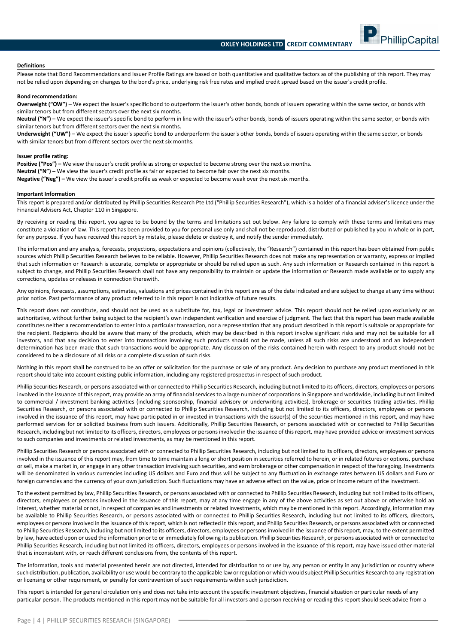PhillipCapital



Please note that Bond Recommendations and Issuer Profile Ratings are based on both quantitative and qualitative factors as of the publishing of this report. They may not be relied upon depending on changes to the bond's price, underlying risk free rates and implied credit spread based on the issuer's credit profile.

#### **Bond recommendation:**

**Overweight ("OW")** – We expect the issuer's specific bond to outperform the issuer's other bonds, bonds of issuers operating within the same sector, or bonds with similar tenors but from different sectors over the next six months.

**Neutral ("N")** – We expect the issuer's specific bond to perform in line with the issuer's other bonds, bonds of issuers operating within the same sector, or bonds with similar tenors but from different sectors over the next six months.

**Underweight ("UW")** – We expect the issuer's specific bond to underperform the issuer's other bonds, bonds of issuers operating within the same sector, or bonds with similar tenors but from different sectors over the next six months.

#### **Issuer profile rating:**

Positive ("Pos") – We view the issuer's credit profile as strong or expected to become strong over the next six months. **Neutral ("N") –** We view the issuer's credit profile as fair or expected to become fair over the next six months. **Negative ("Neg") –** We view the issuer's credit profile as weak or expected to become weak over the next six months.

#### **Important Information**

This report is prepared and/or distributed by Phillip Securities Research Pte Ltd ("Phillip Securities Research"), which is a holder of a financial adviser's licence under the Financial Advisers Act, Chapter 110 in Singapore.

By receiving or reading this report, you agree to be bound by the terms and limitations set out below. Any failure to comply with these terms and limitations may constitute a violation of law. This report has been provided to you for personal use only and shall not be reproduced, distributed or published by you in whole or in part, for any purpose. If you have received this report by mistake, please delete or destroy it, and notify the sender immediately.

The information and any analysis, forecasts, projections, expectations and opinions (collectively, the "Research") contained in this report has been obtained from public sources which Phillip Securities Research believes to be reliable. However, Phillip Securities Research does not make any representation or warranty, express or implied that such information or Research is accurate, complete or appropriate or should be relied upon as such. Any such information or Research contained in this report is subject to change, and Phillip Securities Research shall not have any responsibility to maintain or update the information or Research made available or to supply any corrections, updates or releases in connection therewith.

Any opinions, forecasts, assumptions, estimates, valuations and prices contained in this report are as of the date indicated and are subject to change at any time without prior notice. Past performance of any product referred to in this report is not indicative of future results.

This report does not constitute, and should not be used as a substitute for, tax, legal or investment advice. This report should not be relied upon exclusively or as authoritative, without further being subject to the recipient's own independent verification and exercise of judgment. The fact that this report has been made available constitutes neither a recommendation to enter into a particular transaction, nor a representation that any product described in this report is suitable or appropriate for the recipient. Recipients should be aware that many of the products, which may be described in this report involve significant risks and may not be suitable for all investors, and that any decision to enter into transactions involving such products should not be made, unless all such risks are understood and an independent determination has been made that such transactions would be appropriate. Any discussion of the risks contained herein with respect to any product should not be considered to be a disclosure of all risks or a complete discussion of such risks.

Nothing in this report shall be construed to be an offer or solicitation for the purchase or sale of any product. Any decision to purchase any product mentioned in this report should take into account existing public information, including any registered prospectus in respect of such product.

Phillip Securities Research, or persons associated with or connected to Phillip Securities Research, including but not limited to its officers, directors, employees or persons involved in the issuance of this report, may provide an array of financial services to a large number of corporations in Singapore and worldwide, including but not limited to commercial / investment banking activities (including sponsorship, financial advisory or underwriting activities), brokerage or securities trading activities. Phillip Securities Research, or persons associated with or connected to Phillip Securities Research, including but not limited to its officers, directors, employees or persons involved in the issuance of this report, may have participated in or invested in transactions with the issuer(s) of the securities mentioned in this report, and may have performed services for or solicited business from such issuers. Additionally, Phillip Securities Research, or persons associated with or connected to Phillip Securities Research, including but not limited to its officers, directors, employees or persons involved in the issuance of this report, may have provided advice or investment services to such companies and investments or related investments, as may be mentioned in this report.

Phillip Securities Research or persons associated with or connected to Phillip Securities Research, including but not limited to its officers, directors, employees or persons involved in the issuance of this report may, from time to time maintain a long or short position in securities referred to herein, or in related futures or options, purchase or sell, make a market in, or engage in any other transaction involving such securities, and earn brokerage or other compensation in respect of the foregoing. Investments will be denominated in various currencies including US dollars and Euro and thus will be subject to any fluctuation in exchange rates between US dollars and Euro or foreign currencies and the currency of your own jurisdiction. Such fluctuations may have an adverse effect on the value, price or income return of the investment.

To the extent permitted by law, Phillip Securities Research, or persons associated with or connected to Phillip Securities Research, including but not limited to its officers, directors, employees or persons involved in the issuance of this report, may at any time engage in any of the above activities as set out above or otherwise hold an interest, whether material or not, in respect of companies and investments or related investments, which may be mentioned in this report. Accordingly, information may be available to Phillip Securities Research, or persons associated with or connected to Phillip Securities Research, including but not limited to its officers, directors, employees or persons involved in the issuance of this report, which is not reflected in this report, and Phillip Securities Research, or persons associated with or connected to Phillip Securities Research, including but not limited to its officers, directors, employees or persons involved in the issuance of this report, may, to the extent permitted by law, have acted upon or used the information prior to or immediately following its publication. Phillip Securities Research, or persons associated with or connected to Phillip Securities Research, including but not limited its officers, directors, employees or persons involved in the issuance of this report, may have issued other material that is inconsistent with, or reach different conclusions from, the contents of this report.

The information, tools and material presented herein are not directed, intended for distribution to or use by, any person or entity in any jurisdiction or country where such distribution, publication, availability or use would be contrary to the applicable law or regulation or which would subject Phillip Securities Research to any registration or licensing or other requirement, or penalty for contravention of such requirements within such jurisdiction.

This report is intended for general circulation only and does not take into account the specific investment objectives, financial situation or particular needs of any particular person. The products mentioned in this report may not be suitable for all investors and a person receiving or reading this report should seek advice from a